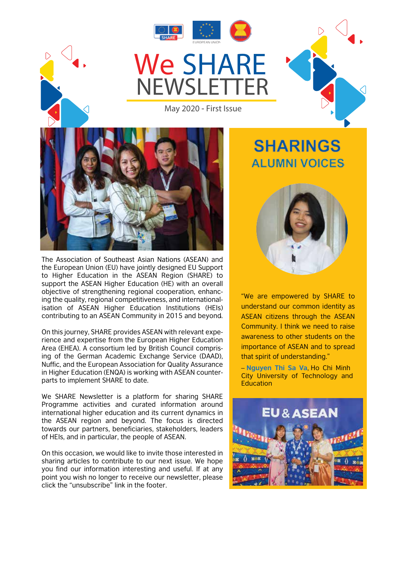



May 2020 - First Issue



- contributing to an ASEAN Community in 2015 and beyond. The Association of Southeast Asian Nations (ASEAN) and the European Union (EU) have jointly designed EU Support to Higher Education in the ASEAN Region (SHARE) to support the ASEAN Higher Education (HE) with an overall objective of strengthening regional cooperation, enhancing the quality, regional competitiveness, and internationalisation of ASEAN Higher Education Institutions (HEIs)

On this journey, SHARE provides ASEAN with relevant experience and expertise from the European Higher Education Area (EHEA). A consortium led by British Council comprising of the German Academic Exchange Service (DAAD), Nuffic, and the European Association for Quality Assurance in Higher Education (ENQA) is working with ASEAN counterparts to implement SHARE to date.

We SHARE Newsletter is a platform for sharing SHARE Programme activities and curated information around international higher education and its current dynamics in the ASEAN region and beyond. The focus is directed towards our partners, beneficiaries, stakeholders, leaders of HEIs, and in particular, the people of ASEAN.

On this occasion, we would like to invite those interested in sharing articles to contribute to our next issue. We hope you find our information interesting and useful. If at any point you wish no longer to receive our newsletter, please click the "unsubscribe" link in the footer.

# **SHARINGS ALUMNI VOICES**



"We are empowered by SHARE to understand our common identity as ASEAN citizens through the ASEAN Community. I think we need to raise awareness to other students on the importance of ASEAN and to spread that spirit of understanding."

– **Nguyen Thi Sa Va**, Ho Chi Minh City University of Technology and **Education** 

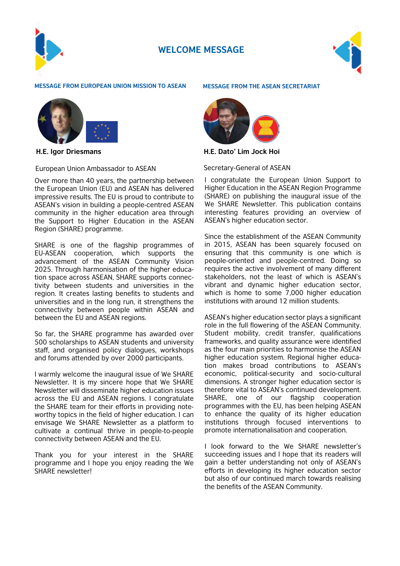

# **WELCOME MESSAGE**



#### **MESSAGE FROM EUROPEAN UNION MISSION TO ASEAN MESSAGE FROM THE ASEAN SECRETARIAT**



**H.E. Igor Driesmans**

European Union Ambassador to ASEAN

Over more than 40 years, the partnership between the European Union (EU) and ASEAN has delivered impressive results. The EU is proud to contribute to ASEAN's vision in building a people-centred ASEAN community in the higher education area through the Support to Higher Education in the ASEAN Region (SHARE) programme.

SHARE is one of the flagship programmes of EU-ASEAN cooperation, which supports the advancement of the ASEAN Community Vision 2025. Through harmonisation of the higher education space across ASEAN, SHARE supports connectivity between students and universities in the region. It creates lasting benefits to students and universities and in the long run, it strengthens the connectivity between people within ASEAN and between the EU and ASEAN regions.

So far, the SHARE programme has awarded over 500 scholarships to ASEAN students and university staff, and organised policy dialogues, workshops and forums attended by over 2000 participants.

I warmly welcome the inaugural issue of We SHARE Newsletter. It is my sincere hope that We SHARE Newsletter will disseminate higher education issues across the EU and ASEAN regions. I congratulate the SHARE team for their efforts in providing noteworthy topics in the field of higher education. I can envisage We SHARE Newsletter as a platform to cultivate a continual thrive in people-to-people connectivity between ASEAN and the EU.

Thank you for your interest in the SHARE programme and I hope you enjoy reading the We SHARE newsletter!



**H.E. Dato' Lim Jock Hoi**

Secretary-General of ASEAN

I congratulate the European Union Support to Higher Education in the ASEAN Region Programme (SHARE) on publishing the inaugural issue of the We SHARE Newsletter. This publication contains interesting features providing an overview of ASEAN's higher education sector.

Since the establishment of the ASEAN Community in 2015, ASEAN has been squarely focused on ensuring that this community is one which is people-oriented and people-centred. Doing so requires the active involvement of many different stakeholders, not the least of which is ASEAN's vibrant and dynamic higher education sector, which is home to some 7,000 higher education institutions with around 12 million students.

ASEAN's higher education sector plays a significant role in the full flowering of the ASEAN Community. Student mobility, credit transfer, qualifications frameworks, and quality assurance were identified as the four main priorities to harmonise the ASEAN higher education system. Regional higher education makes broad contributions to ASEAN's economic, political-security and socio-cultural dimensions. A stronger higher education sector is therefore vital to ASEAN's continued development. SHARE, one of our flagship cooperation programmes with the EU, has been helping ASEAN to enhance the quality of its higher education institutions through focused interventions to promote internationalisation and cooperation.

I look forward to the We SHARE newsletter's succeeding issues and I hope that its readers will gain a better understanding not only of ASEAN's efforts in developing its higher education sector but also of our continued march towards realising the benefits of the ASEAN Community.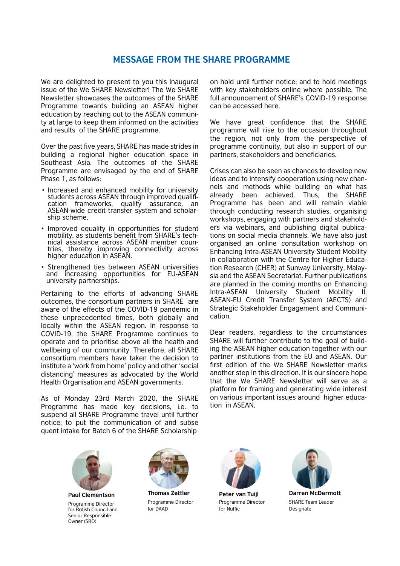# **MESSAGE FROM THE SHARE PROGRAMME**

We are delighted to present to you this inaugural issue of the We SHARE Newsletter! The We SHARE Newsletter showcases the outcomes of the SHARE Programme towards building an ASEAN higher education by reaching out to the ASEAN community at large to keep them informed on the activities and results of the SHARE programme.

Over the past five years, SHARE has made strides in building a regional higher education space in Southeast Asia. The outcomes of the SHARE Programme are envisaged by the end of SHARE Phase 1, as follows:

- Increased and enhanced mobility for university cation frameworks, quality assurance, an ASEAN-wide credit transfer system and scholarship scheme.
- Improved equality in opportunities for student nical assistance across ASEAN member coun-<br>tries, thereby improving connectivity across higher education in ASEAN.
- Strengthened ties between ASEAN universities and increasing opportunities for EU-ASEAN university partnerships.

Pertaining to the efforts of advancing SHARE outcomes, the consortium partners in SHARE are aware of the effects of the COVID-19 pandemic in these unprecedented times, both globally and locally within the ASEAN region. In response to COVID-19, the SHARE Programme continues to operate and to prioritise above all the health and wellbeing of our community. Therefore, all SHARE consortium members have taken the decision to institute a 'work from home' policy and other 'social distancing' measures as advocated by the World Health Organisation and ASEAN governments.

As of Monday 23rd March 2020, the SHARE Programme has made key decisions, i.e. to suspend all SHARE Programme travel until further notice; to put the communication of and subse quent intake for Batch 6 of the SHARE Scholarship

on hold until further notice; and to hold meetings with key stakeholders online where possible. The full announcement of SHARE's COVID-19 response can be accessed here.

We have great confidence that the SHARE programme will rise to the occasion throughout the region, not only from the perspective of programme continuity, but also in support of our partners, stakeholders and beneficiaries.

Crises can also be seen as chances to develop new ideas and to intensify cooperation using new channels and methods while building on what has already been achieved. Thus, the SHARE Programme has been and will remain viable through conducting research studies, organising workshops, engaging with partners and stakeholders via webinars, and publishing digital publications on social media channels. We have also just organised an online consultation workshop on Enhancing Intra-ASEAN University Student Mobility in collaboration with the Centre for Higher Education Research (CHER) at Sunway University, Malaysia and the ASEAN Secretariat. Further publications are planned in the coming months on Enhancing Intra-ASEAN University Student Mobility II, ASEAN-EU Credit Transfer System (AECTS) and Strategic Stakeholder Engagement and Communication.

Dear readers, regardless to the circumstances SHARE will further contribute to the goal of building the ASEAN higher education together with our partner institutions from the EU and ASEAN. Our first edition of the We SHARE Newsletter marks another step in this direction. It is our sincere hope that the We SHARE Newsletter will serve as a platform for framing and generating wide interest on various important issues around higher education in ASEAN.



**Paul Clementson** Programme Director for British Council and Senior Responsible Owner (SRO)



**Thomas Zettler** Programme Director for DAAD



**Peter van Tuijl** Programme Director for Nuffic



**Darren McDermott** SHARE Team Leader Designate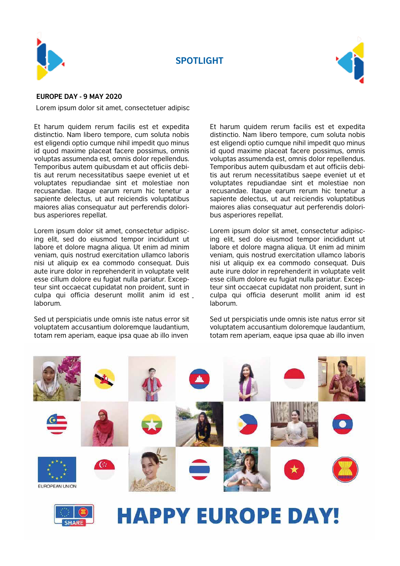

**SPOTLIGHT**



### **EUROPE DAY - 9 MAY 2020**

Lorem ipsum dolor sit amet, consectetuer adipisc

Et harum quidem rerum facilis est et expedita distinctio. Nam libero tempore, cum soluta nobis est eligendi optio cumque nihil impedit quo minus id quod maxime placeat facere possimus, omnis voluptas assumenda est, omnis dolor repellendus. Temporibus autem quibusdam et aut officiis debitis aut rerum necessitatibus saepe eveniet ut et voluptates repudiandae sint et molestiae non recusandae. Itaque earum rerum hic tenetur a sapiente delectus, ut aut reiciendis voluptatibus maiores alias consequatur aut perferendis doloribus asperiores repellat.

- culpa qui officia deserunt mollit anim id est Lorem ipsum dolor sit amet, consectetur adipiscing elit, sed do eiusmod tempor incididunt ut labore et dolore magna aliqua. Ut enim ad minim veniam, quis nostrud exercitation ullamco laboris nisi ut aliquip ex ea commodo consequat. Duis aute irure dolor in reprehenderit in voluptate velit esse cillum dolore eu fugiat nulla pariatur. Excepteur sint occaecat cupidatat non proident, sunt in laborum.

Sed ut perspiciatis unde omnis iste natus error sit voluptatem accusantium doloremque laudantium, totam rem aperiam, eaque ipsa quae ab illo inven

Et harum quidem rerum facilis est et expedita distinctio. Nam libero tempore, cum soluta nobis est eligendi optio cumque nihil impedit quo minus id quod maxime placeat facere possimus, omnis voluptas assumenda est, omnis dolor repellendus. Temporibus autem quibusdam et aut officiis debitis aut rerum necessitatibus saepe eveniet ut et voluptates repudiandae sint et molestiae non recusandae. Itaque earum rerum hic tenetur a sapiente delectus, ut aut reiciendis voluptatibus maiores alias consequatur aut perferendis doloribus asperiores repellat.

Lorem ipsum dolor sit amet, consectetur adipiscing elit, sed do eiusmod tempor incididunt ut labore et dolore magna aliqua. Ut enim ad minim veniam, quis nostrud exercitation ullamco laboris nisi ut aliquip ex ea commodo consequat. Duis aute irure dolor in reprehenderit in voluptate velit esse cillum dolore eu fugiat nulla pariatur. Excepteur sint occaecat cupidatat non proident, sunt in culpa qui officia deserunt mollit anim id est laborum.

Sed ut perspiciatis unde omnis iste natus error sit voluptatem accusantium doloremque laudantium, totam rem aperiam, eaque ipsa quae ab illo inven

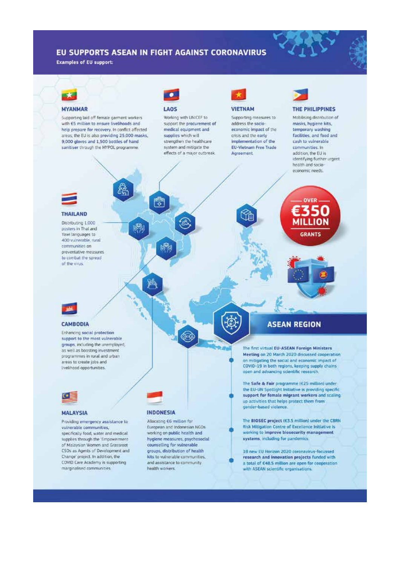## EU SUPPORTS ASEAN IN FIGHT AGAINST CORONAVIRUS

**Examples of EU support:** 

# **MYANMAR**

Supporting taid off female garment workers with ES million to ensure livelihoods and help prepare for recovery. In conflict affected areas, the EU is also providing 25,000 masks, 9,000 gloves and 1,500 bottles of hand sanitiser through the MYPOL programme

Â

關

# LAOS

麡

燒

Working with UNICEF to support the procurement of medical equipment and supplies which will strengthen the healthcare system and mitigate the effects of a major outbreak.



Supporting measures to address the sario economic impact of the crisis and the early Implementation of the **EU-Vietnam Free Trade** Agreement.

#### THE PHILIPPINES

Mobilising distribution of masks, hygiene kits, temporary washing facilities, and food and cash to vulnerable communities, In addition, the EU is identifying further urgent health and socioeconomic needs.



#### **THAILAND**

Distributing 1,000 posters in Thai and Yawi languages to 400 vulnerable, rural communities on novemtative measures to combat the spread of the virus.



OVER 350

**MILLION** 

**GRANTS** 

### **CAMBODIA**

**Enhancing social protection** support to the most vulnerable groups, including the unemployed, as well as boosting investment. programmes in rural and urban areas to create jobs and Irvelihood opportunities.



#### **MALAYSIA**

Providing emergency assistance to vulnerable communities. specifically food, water and medical. supplies through the 'Empowerment' of Malaysian Women and Grassroot CSOs as Agents of Development and Change' project. In addition, the COVID Care Academy is supporting marginalised communities.

#### **INDONESIA**

Allocating E6 million for European and Indonesian NGOs working on public health and hygiene measures, psychosocial counselling for vulnerable. groups, distribution of health kits to vulnerable communities, and assistance to community health workers.

# **ASEAN REGION**

The first virtual EU-ASEAN Foreign Ministers Meeting on 20 March 2020 discussed cooperation on mitigating the social and economic impact of COVID-19 in both regions, keeping supply chains open and advancing scientific research

The Safe & Fair programme (£25 million) under the EU-UN Spotlight Initiative is providing specific support for female migrant workers and scaling up activities that helps protect them from gender-based violence.

The BIOSEC project (E3.5 million) under the CBRN Risk Mitigation Centre of Excellence Initiative is working to improve biosecurity management systems, including for pandemics

18 new EU Horizon 2020 coronayirus-focussed research and innovation projects funded with a total of £48.5 million are open for cooperation with ASEAN scientific proanisations.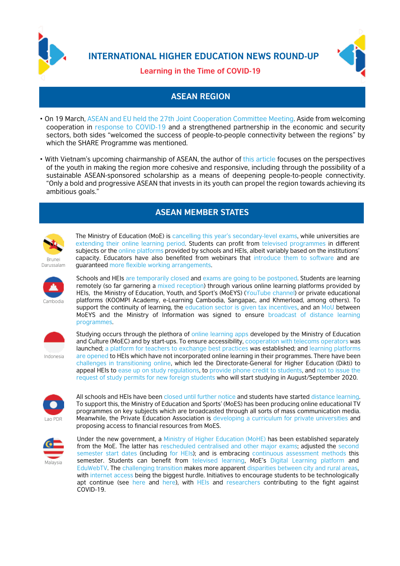

**INTERNATIONAL HIGHER EDUCATION NEWS ROUND-UP**



# **Learning in the Time of COVID-19**

# **ASEAN REGION**

- On 19 March, ASEAN and EU held the 27th Joint Cooperation Committee Meeting. Aside from welcoming cooperation in response to COVID-19 and a strengthened partnership in the economic and security sectors, both sides "welcomed the success of people-to-people connectivity between the regions" by which the SHARE Programme was mentioned.
- With Vietnam's upcoming chairmanship of ASEAN, the author of this article focuses on the perspectives of the youth in making the region more cohesive and responsive, including through the possibility of a sustainable ASEAN-sponsored scholarship as a means of deepening people-to-people connectivity. "Only a bold and progressive ASEAN that invests in its youth can propel the region towards achieving its ambitious goals."

# **ASEAN MEMBER STATES**



The Ministry of Education (MoE) is cancelling this year's secondary-level exams, while universities are extending their online learning period. Students can profit from televised programmes in different subjects or the online platforms provided by schools and HEIs, albeit variably based on the institutions' capacity. Educators have also benefited from webinars that introduce them to software and are guaranteed more flexible working arrangements.



Schools and HEIs are temporarily closed and exams are going to be postponed. Students are learning remotely (so far garnering a mixed reception) through various online learning platforms provided by HEIs, the Ministry of Education, Youth, and Sport's (MoEYS) (YouTube channel) or private educational platforms (KOOMPI Academy, e-Learning Cambodia, Sangapac, and Khmerload, among others). To support the continuity of learning, the education sector is given tax incentives, and an MoU between MoEYS and the Ministry of Information was signed to ensure broadcast of distance learning programmes.



Indonesia

Studying occurs through the plethora of online learning apps developed by the Ministry of Education and Culture (MoEC) and by start-ups. To ensure accessibility, cooperation with telecoms operators was launched; a platform for teachers to exchange best practices was established; and learning platforms are opened to HEIs which have not incorporated online learning in their programmes. There have been challenges in transitioning online, which led the Directorate-General for Higher Education (Dikti) to appeal HEIs to ease up on study regulations, to provide phone credit to students, and not to issue the request of study permits for new foreign students who will start studying in August/September 2020.



All schools and HEIs have been closed until further notice and students have started distance learning. To support this, the Ministry of Education and Sports' (MoES) has been producing online educational TV programmes on key subjects which are broadcasted through all sorts of mass communication media. Meanwhile, the Private Education Association is developing a curriculum for private universities and proposing access to financial resources from MoES.



Under the new government, a Ministry of Higher Education (MoHE) has been established separately from the MoE. The latter has rescheduled centralised and other major exams; adjusted the second semester start dates (including for HEIs); and is embracing continuous assessment methods this semester. Students can benefit from televised learning, MoE's Digital Learning platform and EduWebTV. The challenging transition makes more apparent disparities between city and rural areas. with internet access being the biggest hurdle. Initiatives to encourage students to be technologically apt continue (see here and here), with HEIs and researchers contributing to the fight against COVID-19.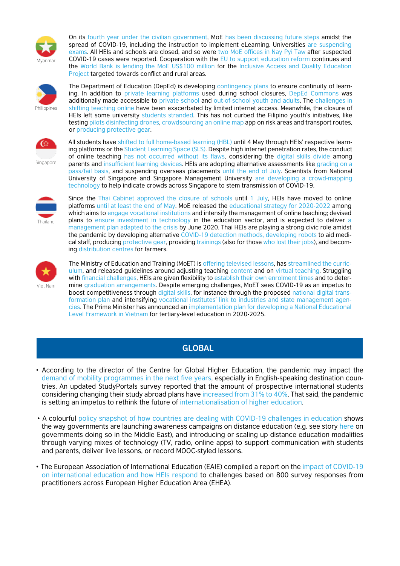

On its fourth year under the civilian government, MoE has been discussing future steps amidst the spread of COVID-19, including the instruction to implement eLearning. Universities are suspending exams. All HEIs and schools are closed, and so were two MoE offices in Nay Pyi Taw after suspected COVID-19 cases were reported. Cooperation with the EU to support education reform continues and the World Bank is lending the MoE US\$100 million for the Inclusive Access and Quality Education Project targeted towards conflict and rural areas.



The Department of Education (DepEd) is developing contingency plans to ensure continuity of learning. In addition to private learning platforms used during school closures, DepEd Commons was additionally made accessible to private school and out-of-school youth and adults. The challenges in shifting teaching online have been exacerbated by limited internet access. Meanwhile, the closure of HEIs left some university students stranded. This has not curbed the Filipino youth's initiatives, like testing pilots disinfecting drones, crowdsourcing an online map app on risk areas and transport routes, or producing protective gear.



Singapore

All students have shifted to full home-based learning (HBL) until 4 May through HEIs' respective learning platforms or the Student Learning Space (SLS). Despite high internet penetration rates, the conduct of online teaching has not occurred without its flaws, considering the digital skills divide among parents and insufficient learning devices. HEIs are adopting alternative assessments like grading on a pass/fail basis, and suspending overseas placements until the end of July. Scientists from National University of Singapore and Singapore Management University are developing a crowd-mapping technology to help indicate crowds across Singapore to stem transmission of COVID-19.



Since the Thai Cabinet approved the closure of schools until 1 July, HEIs have moved to online platforms until at least the end of May. MoE released the educational strategy for 2020-2022 among which aims to engage vocational institutions and intensify the management of online teaching; devised plans to ensure investment in technology in the education sector, and is expected to deliver a management plan adapted to the crisis by June 2020. Thai HEIs are playing a strong civic role amidst the pandemic by developing alternative COVID-19 detection methods, developing robots to aid medical staff, producing protective gear, providing trainings (also for those who lost their jobs), and becoming distribution centres for farmers.



The Ministry of Education and Training (MoET) is offering televised lessons, has streamlined the curriculum, and released guidelines around adjusting teaching content and on virtual teaching. Struggling with financial challenges, HEIs are given flexibility to establish their own enrolment times and to determine graduation arrangements. Despite emerging challenges, MoET sees COVID-19 as an impetus to boost competitiveness through digital skills, for instance through the proposed national digital transformation plan and intensifying vocational institutes' link to industries and state management agencies. The Prime Minister has announced an implementation plan for developing a National Educational Level Framework in Vietnam for tertiary-level education in 2020-2025.

# **GLOBAL**

- According to the director of the Centre for Global Higher Education, the pandemic may impact the demand of mobility programmes in the next five years, especially in English-speaking destination countries. An updated StudyPortals survey reported that the amount of prospective international students considering changing their study abroad plans have increased from 31% to 40%. That said, the pandemic is setting an impetus to rethink the future of internationalisation of higher education.
- A colourful policy snapshot of how countries are dealing with COVID-19 challenges in education shows the way governments are launching awareness campaigns on distance education (e.g. see story here on governments doing so in the Middle East), and introducing or scaling up distance education modalities through varying mixes of technology (TV, radio, online apps) to support communication with students and parents, deliver live lessons, or record MOOC-styled lessons.
- The European Association of International Education (EAIE) compiled a report on the impact of COVID-19 on international education and how HEIs respond to challenges based on 800 survey responses from practitioners across European Higher Education Area (EHEA).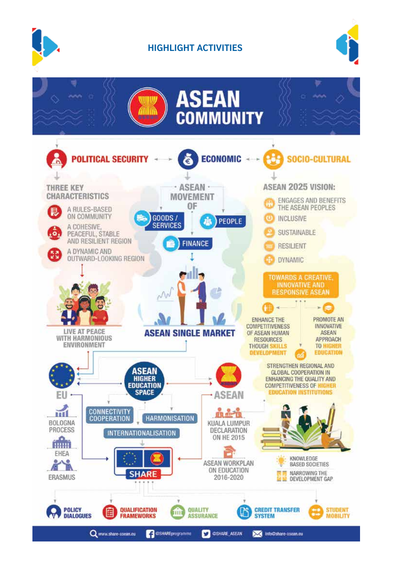

# **HIGHLIGHT ACTIVITIES**



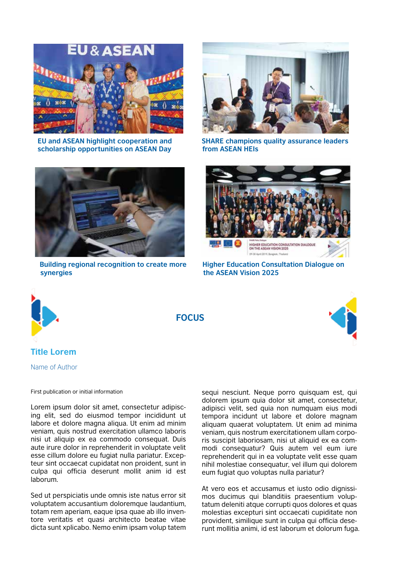

**EU and ASEAN highlight cooperation and scholarship opportunities on ASEAN Day**



**SHARE champions quality assurance leaders from ASEAN HEIs**



**Building regional recognition to create more synergies**



**Higher Education Consultation Dialogue on the ASEAN Vision 2025**



**FOCUS**



# **Title Lorem**

Name of Author

First publication or initial information

Lorem ipsum dolor sit amet, consectetur adipiscing elit, sed do eiusmod tempor incididunt ut labore et dolore magna aliqua. Ut enim ad minim veniam, quis nostrud exercitation ullamco laboris nisi ut aliquip ex ea commodo consequat. Duis aute irure dolor in reprehenderit in voluptate velit esse cillum dolore eu fugiat nulla pariatur. Excepteur sint occaecat cupidatat non proident, sunt in culpa qui officia deserunt mollit anim id est laborum.

Sed ut perspiciatis unde omnis iste natus error sit voluptatem accusantium doloremque laudantium, totam rem aperiam, eaque ipsa quae ab illo inventore veritatis et quasi architecto beatae vitae dicta sunt xplicabo. Nemo enim ipsam volup tatem

sequi nesciunt. Neque porro quisquam est, qui dolorem ipsum quia dolor sit amet, consectetur, adipisci velit, sed quia non numquam eius modi tempora incidunt ut labore et dolore magnam aliquam quaerat voluptatem. Ut enim ad minima veniam, quis nostrum exercitationem ullam corporis suscipit laboriosam, nisi ut aliquid ex ea commodi consequatur? Quis autem vel eum iure reprehenderit qui in ea voluptate velit esse quam nihil molestiae consequatur, vel illum qui dolorem eum fugiat quo voluptas nulla pariatur?

At vero eos et accusamus et iusto odio dignissimos ducimus qui blanditiis praesentium voluptatum deleniti atque corrupti quos dolores et quas molestias excepturi sint occaecati cupiditate non provident, similique sunt in culpa qui officia deserunt mollitia animi, id est laborum et dolorum fuga.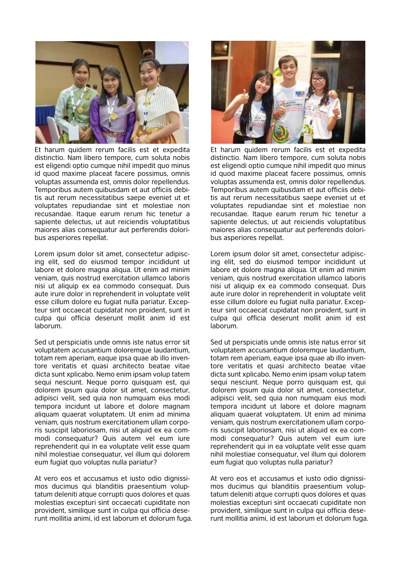

Et harum quidem rerum facilis est et expedita distinctio. Nam libero tempore, cum soluta nobis est eligendi optio cumque nihil impedit quo minus id quod maxime placeat facere possimus, omnis voluptas assumenda est, omnis dolor repellendus. Temporibus autem quibusdam et aut officiis debitis aut rerum necessitatibus saepe eveniet ut et voluptates repudiandae sint et molestiae non recusandae. Itaque earum rerum hic tenetur a sapiente delectus, ut aut reiciendis voluptatibus maiores alias consequatur aut perferendis doloribus asperiores repellat.

Lorem ipsum dolor sit amet, consectetur adipiscing elit, sed do eiusmod tempor incididunt ut labore et dolore magna aliqua. Ut enim ad minim veniam, quis nostrud exercitation ullamco laboris nisi ut aliquip ex ea commodo consequat. Duis aute irure dolor in reprehenderit in voluptate velit esse cillum dolore eu fugiat nulla pariatur. Excepteur sint occaecat cupidatat non proident, sunt in culpa qui officia deserunt mollit anim id est laborum.

Sed ut perspiciatis unde omnis iste natus error sit voluptatem accusantium doloremque laudantium, totam rem aperiam, eaque ipsa quae ab illo inventore veritatis et quasi architecto beatae vitae dicta sunt xplicabo. Nemo enim ipsam volup tatem sequi nesciunt. Neque porro quisquam est, qui dolorem ipsum quia dolor sit amet, consectetur, adipisci velit, sed quia non numquam eius modi tempora incidunt ut labore et dolore magnam aliquam quaerat voluptatem. Ut enim ad minima veniam, quis nostrum exercitationem ullam corporis suscipit laboriosam, nisi ut aliquid ex ea commodi consequatur? Quis autem vel eum iure reprehenderit qui in ea voluptate velit esse quam nihil molestiae consequatur, vel illum qui dolorem eum fugiat quo voluptas nulla pariatur?

At vero eos et accusamus et iusto odio dignissimos ducimus qui blanditiis praesentium voluptatum deleniti atque corrupti quos dolores et quas molestias excepturi sint occaecati cupiditate non provident, similique sunt in culpa qui officia deserunt mollitia animi, id est laborum et dolorum fuga.



Et harum quidem rerum facilis est et expedita distinctio. Nam libero tempore, cum soluta nobis est eligendi optio cumque nihil impedit quo minus id quod maxime placeat facere possimus, omnis voluptas assumenda est, omnis dolor repellendus. Temporibus autem quibusdam et aut officiis debitis aut rerum necessitatibus saepe eveniet ut et voluptates repudiandae sint et molestiae non recusandae. Itaque earum rerum hic tenetur a sapiente delectus, ut aut reiciendis voluptatibus maiores alias consequatur aut perferendis doloribus asperiores repellat.

Lorem ipsum dolor sit amet, consectetur adipiscing elit, sed do eiusmod tempor incididunt ut labore et dolore magna aliqua. Ut enim ad minim veniam, quis nostrud exercitation ullamco laboris nisi ut aliquip ex ea commodo consequat. Duis aute irure dolor in reprehenderit in voluptate velit esse cillum dolore eu fugiat nulla pariatur. Excepteur sint occaecat cupidatat non proident, sunt in culpa qui officia deserunt mollit anim id est laborum.

Sed ut perspiciatis unde omnis iste natus error sit voluptatem accusantium doloremque laudantium, totam rem aperiam, eaque ipsa quae ab illo inventore veritatis et quasi architecto beatae vitae dicta sunt xplicabo. Nemo enim ipsam volup tatem sequi nesciunt. Neque porro quisquam est, qui dolorem ipsum quia dolor sit amet, consectetur, adipisci velit, sed quia non numquam eius modi tempora incidunt ut labore et dolore magnam aliquam quaerat voluptatem. Ut enim ad minima veniam, quis nostrum exercitationem ullam corporis suscipit laboriosam, nisi ut aliquid ex ea commodi consequatur? Quis autem vel eum iure reprehenderit qui in ea voluptate velit esse quam nihil molestiae consequatur, vel illum qui dolorem eum fugiat quo voluptas nulla pariatur?

At vero eos et accusamus et iusto odio dignissimos ducimus qui blanditiis praesentium voluptatum deleniti atque corrupti quos dolores et quas molestias excepturi sint occaecati cupiditate non provident, similique sunt in culpa qui officia deserunt mollitia animi, id est laborum et dolorum fuga.